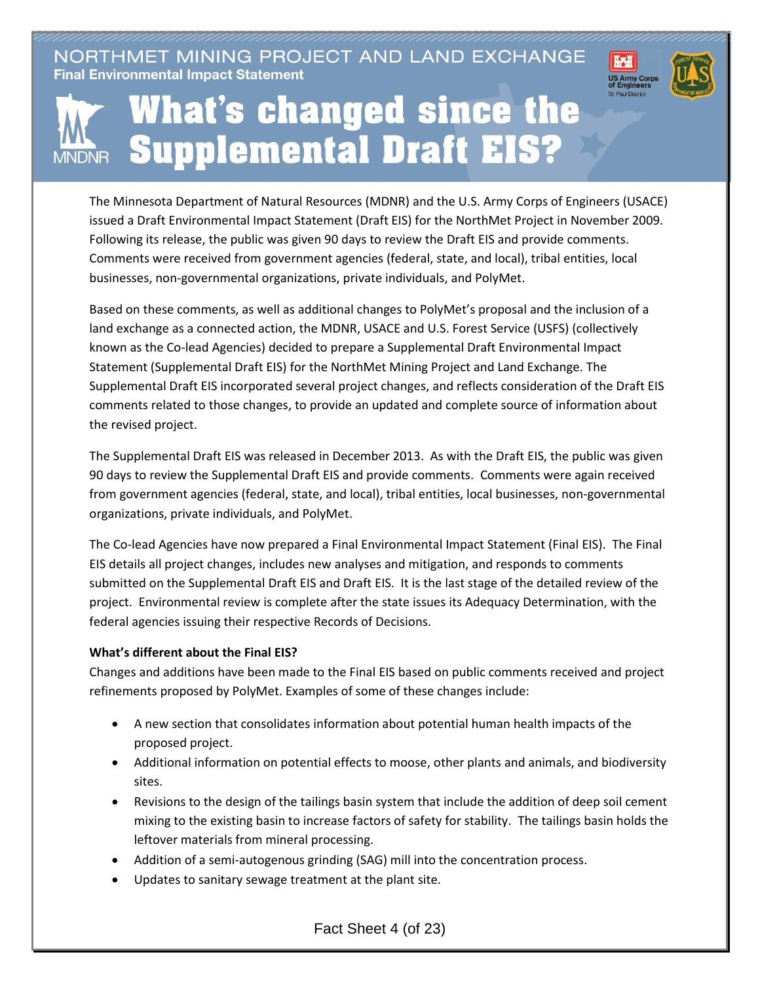NORTHMET MINING PROJECT AND LAND EXCHANGE **Final Environmental Impact Statement** 





## **What's changed since the Supplemental Draft EIS? MNDNR**

The Minnesota Department of Natural Resources (MDNR) and the U.S. Army Corps of Engineers (USACE) issued a Draft Environmental Impact Statement (Draft EIS) for the NorthMet Project in November 2009. Following its release, the public was given 90 days to review the Draft EIS and provide comments. Comments were received from government agencies (federal, state, and local), tribal entities, local businesses, non-governmental organizations, private individuals, and PolyMet.

Based on these comments, as well as additional changes to PolyMet's proposal and the inclusion of a land exchange as a connected action, the MDNR, USACE and U.S. Forest Service (USFS) (collectively known as the Co-lead Agencies) decided to prepare a Supplemental Draft Environmental Impact Statement (Supplemental Draft EIS) for the NorthMet Mining Project and Land Exchange. The Supplemental Draft EIS incorporated several project changes, and reflects consideration of the Draft EIS comments related to those changes, to provide an updated and complete source of information about the revised project.

The Supplemental Draft EIS was released in December 2013. As with the Draft EIS, the public was given 90 days to review the Supplemental Draft EIS and provide comments. Comments were again received from government agencies (federal, state, and local), tribal entities, local businesses, non-governmental organizations, private individuals, and PolyMet.

The Co-lead Agencies have now prepared a Final Environmental Impact Statement (Final EIS). The Final EIS details all project changes, includes new analyses and mitigation, and responds to comments submitted on the Supplemental Draft EIS and Draft EIS. It is the last stage of the detailed review of the project. Environmental review is complete after the state issues its Adequacy Determination, with the federal agencies issuing their respective Records of Decisions.

## **What's different about the Final EIS?**

Changes and additions have been made to the Final EIS based on public comments received and project refinements proposed by PolyMet. Examples of some of these changes include:

- A new section that consolidates information about potential human health impacts of the proposed project.
- Additional information on potential effects to moose, other plants and animals, and biodiversity sites.
- Revisions to the design of the tailings basin system that include the addition of deep soil cement mixing to the existing basin to increase factors of safety for stability. The tailings basin holds the leftover materials from mineral processing.
- Addition of a semi-autogenous grinding (SAG) mill into the concentration process.
- Updates to sanitary sewage treatment at the plant site.